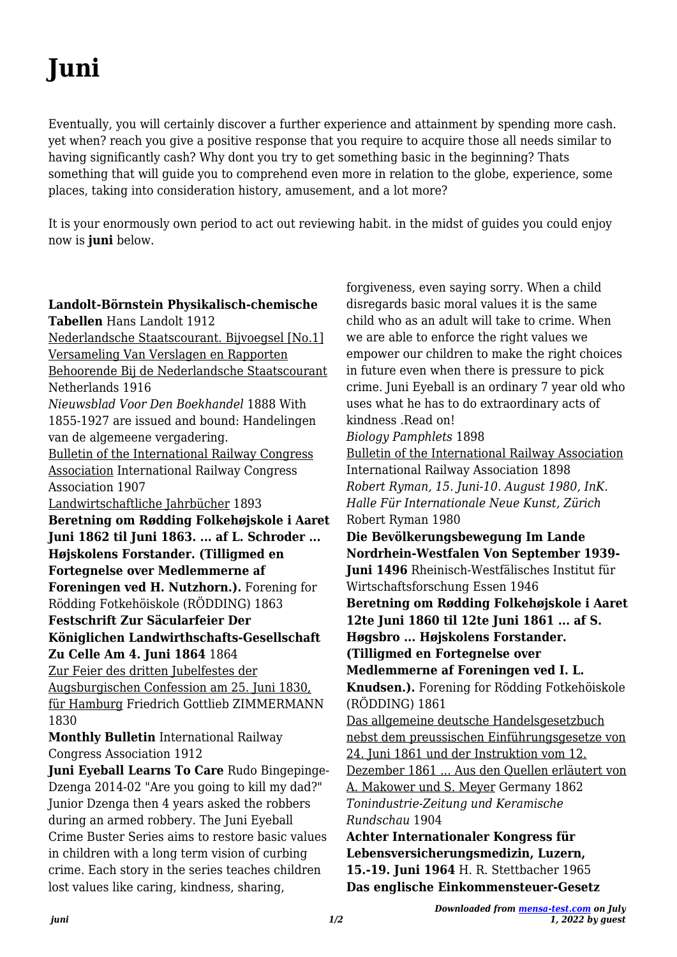## **Juni**

Eventually, you will certainly discover a further experience and attainment by spending more cash. yet when? reach you give a positive response that you require to acquire those all needs similar to having significantly cash? Why dont you try to get something basic in the beginning? Thats something that will guide you to comprehend even more in relation to the globe, experience, some places, taking into consideration history, amusement, and a lot more?

It is your enormously own period to act out reviewing habit. in the midst of guides you could enjoy now is **juni** below.

**Landolt-Börnstein Physikalisch-chemische Tabellen** Hans Landolt 1912 Nederlandsche Staatscourant. Bijvoegsel [No.1] Versameling Van Verslagen en Rapporten Behoorende Bij de Nederlandsche Staatscourant Netherlands 1916 *Nieuwsblad Voor Den Boekhandel* 1888 With 1855-1927 are issued and bound: Handelingen van de algemeene vergadering. Bulletin of the International Railway Congress Association International Railway Congress Association 1907 Landwirtschaftliche Jahrbücher 1893 **Beretning om Rødding Folkehøjskole i Aaret Juni 1862 til Juni 1863. ... af L. Schroder ... Højskolens Forstander. (Tilligmed en Fortegnelse over Medlemmerne af Foreningen ved H. Nutzhorn.).** Forening for Rödding Fotkehöiskole (RÖDDING) 1863 **Festschrift Zur Säcularfeier Der Königlichen Landwirthschafts-Gesellschaft Zu Celle Am 4. Juni 1864** 1864 Zur Feier des dritten Jubelfestes der Augsburgischen Confession am 25. Juni 1830, für Hamburg Friedrich Gottlieb ZIMMERMANN 1830 **Monthly Bulletin** International Railway Congress Association 1912 **Juni Eyeball Learns To Care** Rudo Bingepinge-Dzenga 2014-02 "Are you going to kill my dad?" Junior Dzenga then 4 years asked the robbers during an armed robbery. The Juni Eyeball Crime Buster Series aims to restore basic values in children with a long term vision of curbing crime. Each story in the series teaches children lost values like caring, kindness, sharing,

forgiveness, even saying sorry. When a child disregards basic moral values it is the same child who as an adult will take to crime. When we are able to enforce the right values we empower our children to make the right choices in future even when there is pressure to pick crime. Juni Eyeball is an ordinary 7 year old who uses what he has to do extraordinary acts of kindness .Read on! *Biology Pamphlets* 1898 Bulletin of the International Railway Association International Railway Association 1898 *Robert Ryman, 15. Juni-10. August 1980, InK. Halle Für Internationale Neue Kunst, Zürich* Robert Ryman 1980 **Die Bevölkerungsbewegung Im Lande Nordrhein-Westfalen Von September 1939- Juni 1496** Rheinisch-Westfälisches Institut für Wirtschaftsforschung Essen 1946 **Beretning om Rødding Folkehøjskole i Aaret 12te Juni 1860 til 12te Juni 1861 ... af S. Høgsbro ... Højskolens Forstander. (Tilligmed en Fortegnelse over Medlemmerne af Foreningen ved I. L. Knudsen.).** Forening for Rödding Fotkehöiskole (RÖDDING) 1861 Das allgemeine deutsche Handelsgesetzbuch nebst dem preussischen Einführungsgesetze von 24. Juni 1861 und der Instruktion vom 12. Dezember 1861 ... Aus den Quellen erläutert von A. Makower und S. Meyer Germany 1862 *Tonindustrie-Zeitung und Keramische Rundschau* 1904 **Achter Internationaler Kongress für Lebensversicherungsmedizin, Luzern, 15.-19. Juni 1964** H. R. Stettbacher 1965

**Das englische Einkommensteuer-Gesetz**